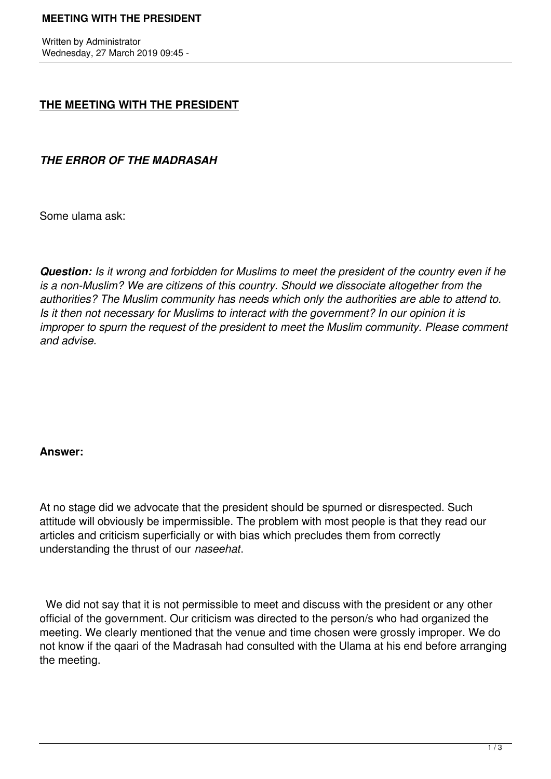# **MEETING WITH THE PRESIDENT**

Written by Administrator Wednesday, 27 March 2019 09:45 -

# **THE MEETING WITH THE PRESIDENT**

*THE ERROR OF THE MADRASAH*

Some ulama ask:

*Question: Is it wrong and forbidden for Muslims to meet the president of the country even if he is a non-Muslim? We are citizens of this country. Should we dissociate altogether from the authorities? The Muslim community has needs which only the authorities are able to attend to. Is it then not necessary for Muslims to interact with the government? In our opinion it is improper to spurn the request of the president to meet the Muslim community. Please comment and advise.*

# **Answer:**

At no stage did we advocate that the president should be spurned or disrespected. Such attitude will obviously be impermissible. The problem with most people is that they read our articles and criticism superficially or with bias which precludes them from correctly understanding the thrust of our *naseehat*.

 We did not say that it is not permissible to meet and discuss with the president or any other official of the government. Our criticism was directed to the person/s who had organized the meeting. We clearly mentioned that the venue and time chosen were grossly improper. We do not know if the qaari of the Madrasah had consulted with the Ulama at his end before arranging the meeting.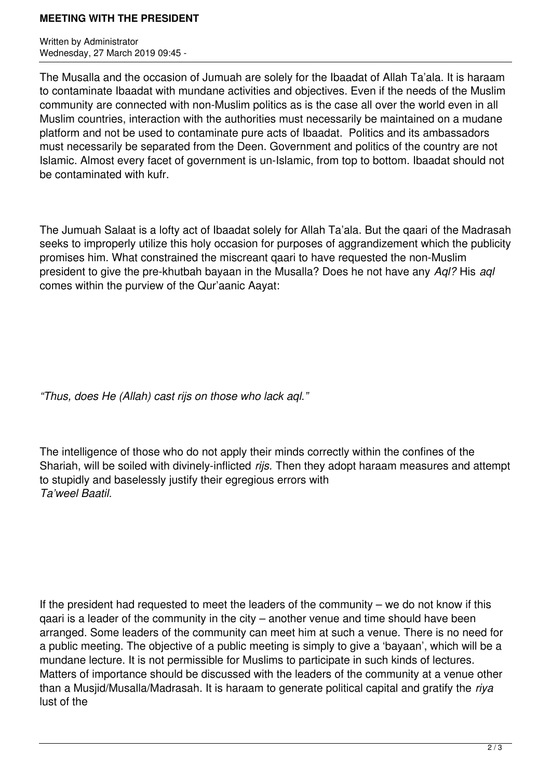# **MEETING WITH THE PRESIDENT**

Written by Administrator Wednesday, 27 March 2019 09:45 -

The Musalla and the occasion of Jumuah are solely for the Ibaadat of Allah Ta'ala. It is haraam to contaminate Ibaadat with mundane activities and objectives. Even if the needs of the Muslim community are connected with non-Muslim politics as is the case all over the world even in all Muslim countries, interaction with the authorities must necessarily be maintained on a mudane platform and not be used to contaminate pure acts of Ibaadat. Politics and its ambassadors must necessarily be separated from the Deen. Government and politics of the country are not Islamic. Almost every facet of government is un-Islamic, from top to bottom. Ibaadat should not be contaminated with kufr.

The Jumuah Salaat is a lofty act of Ibaadat solely for Allah Ta'ala. But the qaari of the Madrasah seeks to improperly utilize this holy occasion for purposes of aggrandizement which the publicity promises him. What constrained the miscreant qaari to have requested the non-Muslim president to give the pre-khutbah bayaan in the Musalla? Does he not have any *Aql?* His *aql* comes within the purview of the Qur'aanic Aayat:

*"Thus, does He (Allah) cast rijs on those who lack aql."*

The intelligence of those who do not apply their minds correctly within the confines of the Shariah, will be soiled with divinely-inflicted *rijs.* Then they adopt haraam measures and attempt to stupidly and baselessly justify their egregious errors with *Ta'weel Baatil.*

If the president had requested to meet the leaders of the community – we do not know if this qaari is a leader of the community in the city – another venue and time should have been arranged. Some leaders of the community can meet him at such a venue. There is no need for a public meeting. The objective of a public meeting is simply to give a 'bayaan', which will be a mundane lecture. It is not permissible for Muslims to participate in such kinds of lectures. Matters of importance should be discussed with the leaders of the community at a venue other than a Musjid/Musalla/Madrasah. It is haraam to generate political capital and gratify the *riya* lust of the